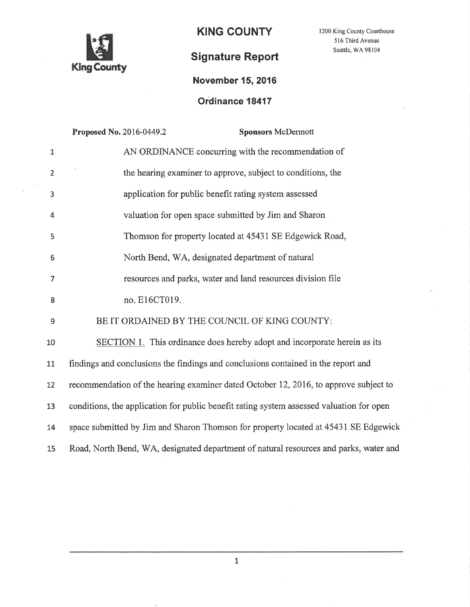

KING COUNTY

1200 King County Courthouse 516 Third Avenue Seattle, WA 98104

# Signature Report

## November 15,2016

## Ordinance 18417

|                  | Proposed No. 2016-0449.2<br><b>Sponsors McDermott</b>                                    |
|------------------|------------------------------------------------------------------------------------------|
| $\mathbf 1$      | AN ORDINANCE concurring with the recommendation of                                       |
| $\overline{2}$   | the hearing examiner to approve, subject to conditions, the                              |
| 3                | application for public benefit rating system assessed                                    |
| $\overline{4}$   | valuation for open space submitted by Jim and Sharon                                     |
| 5                | Thomson for property located at 45431 SE Edgewick Road,                                  |
| 6                | North Bend, WA, designated department of natural                                         |
| $\overline{7}$   | resources and parks, water and land resources division file                              |
| 8                | no. E16CT019.                                                                            |
| $\boldsymbol{9}$ | BE IT ORDAINED BY THE COUNCIL OF KING COUNTY:                                            |
| 10               | <b>SECTION 1.</b> This ordinance does hereby adopt and incorporate herein as its         |
| 11               | findings and conclusions the findings and conclusions contained in the report and        |
| 12               | recommendation of the hearing examiner dated October 12, 2016, to approve subject to     |
| 13               | conditions, the application for public benefit rating system assessed valuation for open |
| 14               | space submitted by Jim and Sharon Thomson for property located at 45431 SE Edgewick      |
| 15               | Road, North Bend, WA, designated department of natural resources and parks, water and    |

L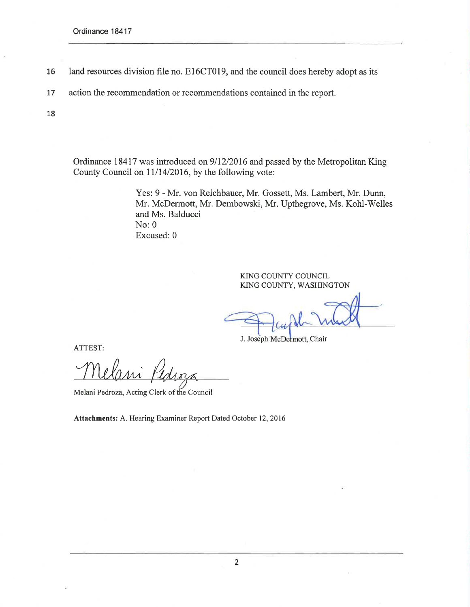- 16 land resources division file no. E16CT019, and the council does hereby adopt as its
- L7 action the recommendation or recommendations contained in the report.

18

Ordinance 18417 was introduced on 9/12/2016 and passed by the Metropolitan King County Council on  $11/14/2016$ , by the following vote:

> Yes: 9 - Mr. von Reichbauer, Mr. Gossett, Ms. Lambert, Mr. Dunn, Mr. McDermott, Mr. Dembowski, Mr. Upthegrove, Ms. Kohl-Welles and Ms. Balducci  $No: 0$ Excused: 0

> > KING COUNTY COUNCIL KING COUNTY, WASHINGTON

J. Joseph McDermott, Chair

ATTEST:

Melani Kedroza

U Melani Pedroza, Acting Clerk of the Council

Attachments: A. Hearing Examiner Report Dated October 12,2016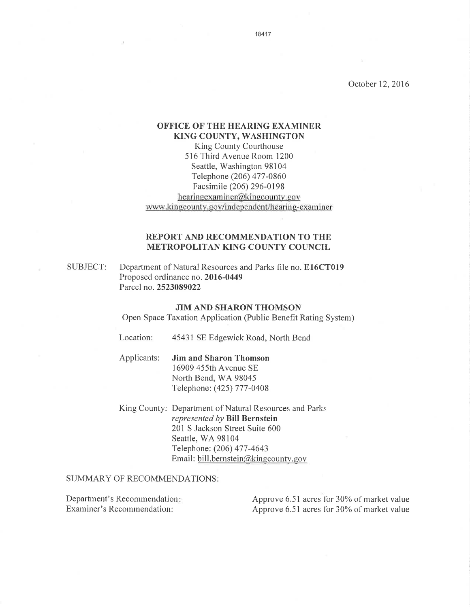October 12,2016

## OFFICE OF THE HEARING EXAMINER KING COUNTY, WASHINGTON

King County Courthouse 516 Third Avenue Room 1200 Seattle, Washington 98104 Telephone (206) 477 -0860 Facsimile (206) 296-0198 hearing examiner  $\widehat{\omega}$  king county, gov www.kingcounty.gov/independent/hearing-examiner

## REPORT AND RECOMMENDATION TO THE METROPOLITAN KING COUNTY COUNCIL

Department of Natural Resources and Parks file no. E16CT019 Proposed ordinance no. 2016-0449 Parcel no.2523089022 SUBJECT:

### JIM AND SHARON THOMSON

Open Space Taxation Application (Public Benefit Rating System)

- Location: 45431 SE Edgewick Road, North Bend
- Applicants: Jim and Sharon Thomson 16909 455th Avenue SE North Bend, WA 98045 Telephone: (425) 777 -0408
- King County: Department of Natural Resources and Parks represented by Bill Bernstein 201 S Jackson Street Suite 600 Seattle, WA 98104 Telephone: (206) 477 -4643 Email: bill.bernstein@kingcounty.gov

SUMMARY OF RECOMMENDATIONS:

Department's Recommendation: Examiner's Recommendation:

Approve 6.51 acres for 30% of market value Approve 6.51 acres for 30% of market value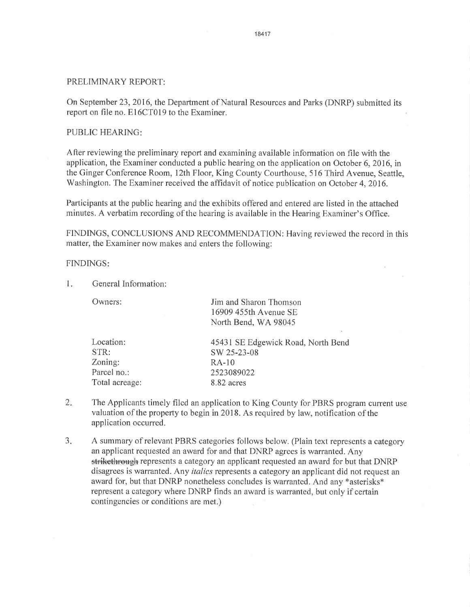# PRELIMINARY REPORT:

On September23,2016, the Depaftment of Natural Resources and Parks (DNRP) submitted its report on file no. El6CT019 to the Examiner.

## PUBLIC HEARING

After reviewing the preliminary report and examining available information on file with the application, the Examiner conducted a public hearing on the application on October 6,2016, in the Ginger Conferenoe Room, 12th Floor, King County Courthouse, 516 Third Avenue, Seattle, Washington. The Examiner received the affidavit of notice publication on October 4, 2016.

Participants at the public hearing and the exhibits offered and entered are listed in the attached minutes. A verbatim recording of the hearing is available in the Hearing Examiner's Office.

FINDINGS, CONCLUSIONS AND RECOMMENDATION: Having reviewed the record in this matter, the Examiner now makes and enters the following:

## FINDINGS

General Information: 1

Location: STR: Zoning:

Total acreage:

Owners: Jim and Sharon Thomson 16909 455th Avenue SE North Bend, WA 98045 Parcel no.: 45431SE Edgewick Road, North Bend sw 2s-23-08 RA-10 2523089022

 $2.$ The Applicants timely filed an application to King County for PBRS program current use valuation of the property to begin in2018. As required by law, notification of the application occurred.

8.82 acres

 $3.$ A summary of relevant PBRS categories follows below. (Plain text represents a category an applicant requested an award for and that DNRP agrees is warranted. Any strikethrough represents a category an applicant requested an award for but that DNRP disagrees is warranted. Any *italics* represents a category an applicant did not request an award for, but that DNRP nonetheless concludes is warranted. And any \*asterisks\* represent a category where DNRP finds an award is warranted, but only if certain contingencies or conditions are met.)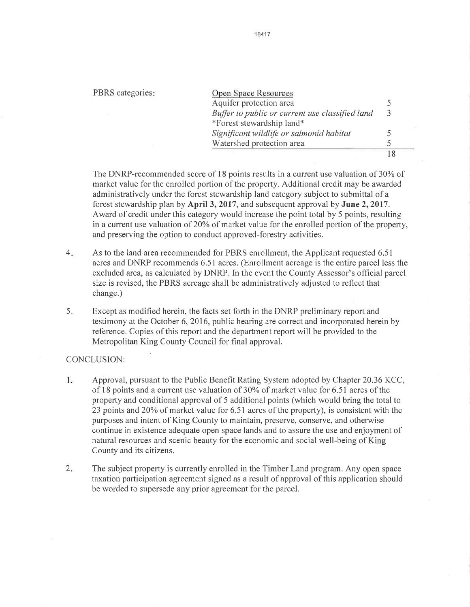#### PBRS categories:

| Open Space Resources                            |   |
|-------------------------------------------------|---|
| Aquifer protection area                         |   |
| Buffer to public or current use classified land | 3 |
| *Forest stewardship land*                       |   |
| Significant wildlife or salmonid habitat        |   |
| Watershed protection area                       |   |
|                                                 |   |

The DNRP-recommended score of l8 points results in a current use valuation of 30% of market value for the enrolled portion of the property. Additional credit may be awarded administratively under the forest stewardship land category subject to submittal of a forest stewardship plan by April 3, 2017, and subsequent approval by June 2, 2017. Award of credit under this category would increase the point total by 5 points, resulting in a current use valuation of 20% of market value for the enrolled portion of the property, and preserving the option to conduct approved-forestry activities.

- As to the land area recommended for PBRS enrollment, the Applicant requested 6.51 acres and DNRP recommends 6.51 acres. (Enrollment acreage is the entire parcel less the excluded area, as calculated by DNRP. In the event the County Assessor's official parcel size is revised, the PBRS acreage shall be administratively adjusted to reflect that change.)  $4.$
- Except as modified herein, the facts set forth in the DNRP preliminary report and testimony at the October 6,2016, public hearing are correct and incorporated herein by reference. Copies of this report and the department report will be provided to the Metropolitan King County Council for final approval. 5.

## CONCLUSION:

- 1. Approval, pursuant to the Public Benefit Rating System adopted by Chapter 20.36KCC, of l8 points and a current use valuation of 30% of market value for 6.51 acres of the property and conditional approval of 5 additional points (which would bring the total to 23 points and 20% of market value for  $6.51$  acres of the property), is consistent with the purposes and intent of King County to maintain, preserve, conserve, and otherwise continue in existence adequate open space lands and to assure the use and enjoyment of natural resources and scenic beauty for the economic and social well-being of King County and its citizens.
- The subject property is currently enrolled in the Timber Land program. Any open space taxation participation agreement signed as a result of approval of this application should be worded to supersede any prior agreement for the parcel.  $2.$

#### 18417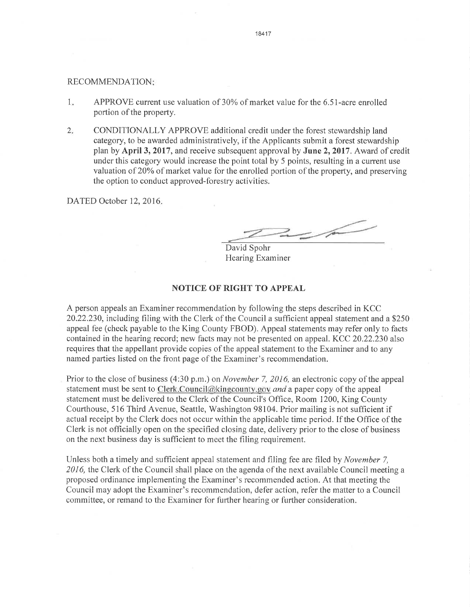#### RECOMMENDATION

- $1.$ APPROVE current use valuation of 30% of market value for the 6.51-acre enrolled portion of the property.
- $2<sub>1</sub>$ CONDITIONALLY APPROVE additional credit under the forest stewardship land category, to be awarded administratively, if the Applicants submit a forest stewardship plan by April 3, 2017 , and receive subsequent approval by June 2,2017 . Award of credit under this category would increase the point total by 5 points, resulting in a current use valuation of 20% of market value for the enrolled portion of the property, and preserving the option to conduct approved-forestry activities.

DATED October 12, 2016.

 $\overbrace{\rule{2.8cm}{0pt}}^{ \overbrace{\phantom{2\!}}^{ \overline{\phantom{2}}}}$ 

David Spohr Hearing Examiner

## NOTICE OF RIGHT TO APPEAL

A person appeals an Examiner recommendation by following the steps described in KCC 20.22.230, including filing with the Clerk of the Council a sufficient appeal statement and a \$250 appeal fee (check payable to the King County FBOD). Appeal statements may refer only to facts contained in the hearing record; new facts may not be presented on appeal. KCC 20.22.230 also requires that the appellant provide copies of the appeal statement to the Examiner and to any named parties listed on the front page of the Examiner's recommendation.

Prior to the close of business (4:30 p.m.) on *November* 7, 2016, an electronic copy of the appeal statement must be sent to Clerk. Council  $@k$  ingcounty gov and a paper copy of the appeal statement must be delivered to the Clerk of the Council's Office, Room 1200, King County Courthouse, 516 Third Avenue, Seattle, Washington 98104. Prior mailing is not sufficient if actual receipt by the Clerk does not occur within the applicable time period. If the Office of the Clerk is not offìcially open on the specified closing date, delivery prior to the close of business on the next business day is sufficient to meet the fìling requirement.

Unless both a timely and sufficient appeal statement and filing fee are filed by *November* 7, 2016, the Clerk of the Council shall place on the agenda of the next available Council meeting a proposed ordinance implementing the Examiner's recommended action. At that meeting the Council may adopt the Examiner's recommendation, defer action, refer the matter to a Council committee, or remand to the Examiner for further hearing or fufther consideration.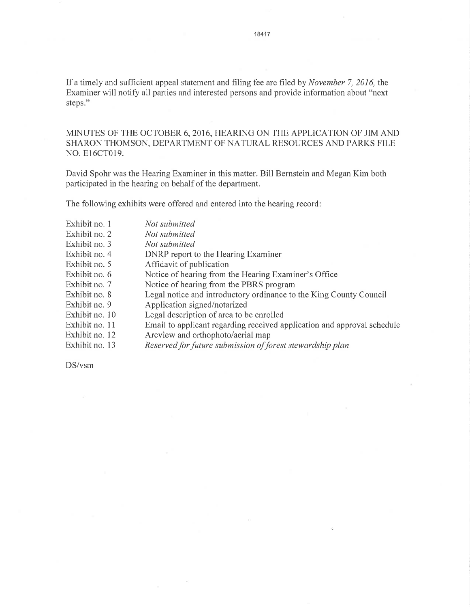If a timely and sufficient appeal statement and filing fee are filed by November 7, 2016, the Examiner will notify all parties and interested persons and provide information about "next steps."

MINUTES OF THE OCTOBER 6,2016, HEARING ON THE APPLICATION OF JIM AND SHARON THOMSON, DEPARTMENT OF NATURAL RESOURCES AND PARKS FILE NO. E16CT019.

David Spohr was the Hearing Examiner in this matter. Bill Bernstein and Megan Kim both participated in the hearing on behalf of the department.

The following exhibits were offered and entered into the hearing record:

 $\sim$ 

| Exhibit no. 1  | Not submitted                                                           |
|----------------|-------------------------------------------------------------------------|
| Exhibit no. 2  | Not submitted                                                           |
| Exhibit no. 3  | Not submitted                                                           |
| Exhibit no. 4  | DNRP report to the Hearing Examiner                                     |
| Exhibit no. 5  | Affidavit of publication                                                |
| Exhibit no. 6  | Notice of hearing from the Hearing Examiner's Office                    |
| Exhibit no. 7  | Notice of hearing from the PBRS program                                 |
| Exhibit no. 8  | Legal notice and introductory ordinance to the King County Council      |
| Exhibit no. 9  | Application signed/notarized                                            |
| Exhibit no. 10 | Legal description of area to be enrolled                                |
| Exhibit no. 11 | Email to applicant regarding received application and approval schedule |
| Exhibit no. 12 | Arcview and orthophoto/aerial map                                       |
| Exhibit no. 13 | Reserved for future submission of forest stewardship plan               |
|                |                                                                         |

DS/vsm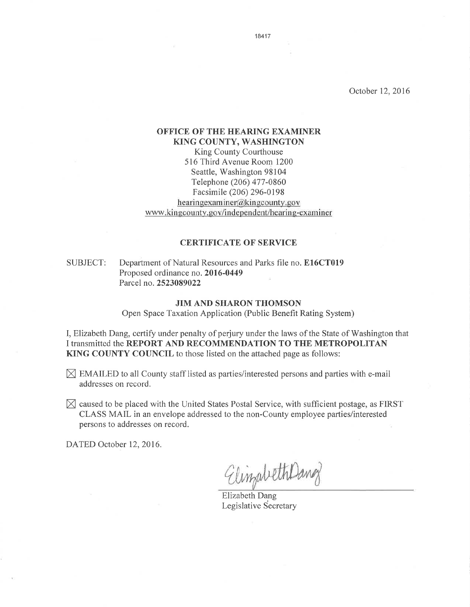October 12,2016

## OFFICE OF THE HEARING EXAMINER KING COUNTY, WASHINGTON King County Courthouse

516 Third Avenue Room 1200 Seattle, Washington 98104 Telephone (206) 477 -0860 Facsimile (206) 296-0198 hearing examiner@king county.gov www.kingcounty.gov/independent/hearing-examiner

## **CERTIFICATE OF SERVICE**

## SUBJECT: Department of Natural Resources and Parks file no. E16CT019 Proposed ordinance no. 2016-0449 Parcel no.2523089022

## JIM AND SHARON THOMSON

Open Space Taxation Application (Public Benefit Rating System)

I, Elizabeth Dang, certify under penalty of perjury under the laws of the State of Washington that I transmitted the REPORT AND RECOMMENDATION TO THE METROPOLITAN KING COUNTY COUNCIL to those listed on the attached page as follows:

- $\boxtimes$  EMAILED to all County staff listed as parties/interested persons and parties with e-mail addresses on record.
- $\boxtimes$  caused to be placed with the United States Postal Service, with sufficient postage, as FIRST CLASS MAIL in an envelope addressed to the non-County employee parties/interested persons to addresses on record.

DATED October 12, 2016.

ElinzabethDang

Elizabeth Dang Legislative Secretary